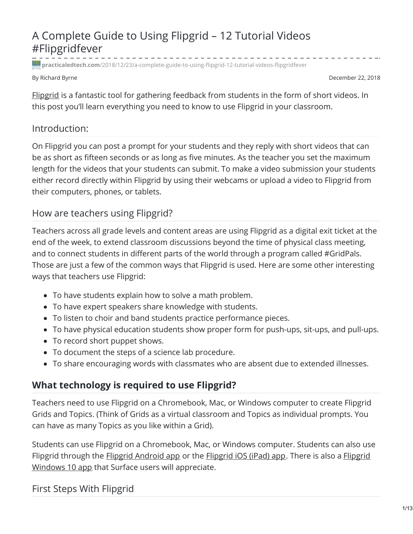# A Complete Guide to Using Flipgrid – 12 Tutorial Videos #Flipgridfever

**practicaledtech.com**[/2018/12/23/a-complete-guide-to-using-flipgrid-12-tutorial-videos-flipgridfever](https://practicaledtech.com/2018/12/23/a-complete-guide-to-using-flipgrid-12-tutorial-videos-flipgridfever/)

By Richard Byrne December 22, 2018

[Flipgrid](https://flipgrid.com/) is a fantastic tool for gathering feedback from students in the form of short videos. In this post you'll learn everything you need to know to use Flipgrid in your classroom.

#### Introduction:

On Flipgrid you can post a prompt for your students and they reply with short videos that can be as short as fifteen seconds or as long as five minutes. As the teacher you set the maximum length for the videos that your students can submit. To make a video submission your students either record directly within Flipgrid by using their webcams or upload a video to Flipgrid from their computers, phones, or tablets.

#### How are teachers using Flipgrid?

Teachers across all grade levels and content areas are using Flipgrid as a digital exit ticket at the end of the week, to extend classroom discussions beyond the time of physical class meeting, and to connect students in different parts of the world through a program called #GridPals. Those are just a few of the common ways that Flipgrid is used. Here are some other interesting ways that teachers use Flipgrid:

- To have students explain how to solve a math problem.
- To have expert speakers share knowledge with students.
- To listen to choir and band students practice performance pieces.
- To have physical education students show proper form for push-ups, sit-ups, and pull-ups.
- To record short puppet shows.
- To document the steps of a science lab procedure.
- To share encouraging words with classmates who are absent due to extended illnesses.

#### **What technology is required to use Flipgrid?**

Teachers need to use Flipgrid on a Chromebook, Mac, or Windows computer to create Flipgrid Grids and Topics. (Think of Grids as a virtual classroom and Topics as individual prompts. You can have as many Topics as you like within a Grid).

Students can use Flipgrid on a Chromebook, Mac, or Windows computer. Students can also use [Flipgrid](https://itunes.apple.com/us/app/flipgrid./id756972930?mt=8&ign-mpt=uo%3D4) through the **Flipgrid [Android](https://play.google.com/store/apps/details?id=com.vidku.app.flipgrid) app** or the **Flipgrid iOS** (iPad) app. There is also a Flipgrid Windows 10 app that Surface users will [appreciate.](https://www.microsoft.com/store/apps/9NQ07X4VJX2S)

First Steps With Flipgrid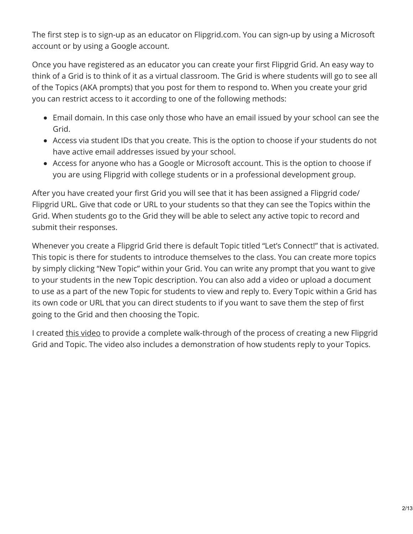The first step is to sign-up as an educator on Flipgrid.com. You can sign-up by using a Microsoft account or by using a Google account.

Once you have registered as an educator you can create your first Flipgrid Grid. An easy way to think of a Grid is to think of it as a virtual classroom. The Grid is where students will go to see all of the Topics (AKA prompts) that you post for them to respond to. When you create your grid you can restrict access to it according to one of the following methods:

- Email domain. In this case only those who have an email issued by your school can see the Grid.
- Access via student IDs that you create. This is the option to choose if your students do not have active email addresses issued by your school.
- Access for anyone who has a Google or Microsoft account. This is the option to choose if you are using Flipgrid with college students or in a professional development group.

After you have created your first Grid you will see that it has been assigned a Flipgrid code/ Flipgrid URL. Give that code or URL to your students so that they can see the Topics within the Grid. When students go to the Grid they will be able to select any active topic to record and submit their responses.

Whenever you create a Flipgrid Grid there is default Topic titled "Let's Connect!" that is activated. This topic is there for students to introduce themselves to the class. You can create more topics by simply clicking "New Topic" within your Grid. You can write any prompt that you want to give to your students in the new Topic description. You can also add a video or upload a document to use as a part of the new Topic for students to view and reply to. Every Topic within a Grid has its own code or URL that you can direct students to if you want to save them the step of first going to the Grid and then choosing the Topic.

I created this [video](https://youtu.be/5wYYniOAaiE) to provide a complete walk-through of the process of creating a new Flipgrid Grid and Topic. The video also includes a demonstration of how students reply to your Topics.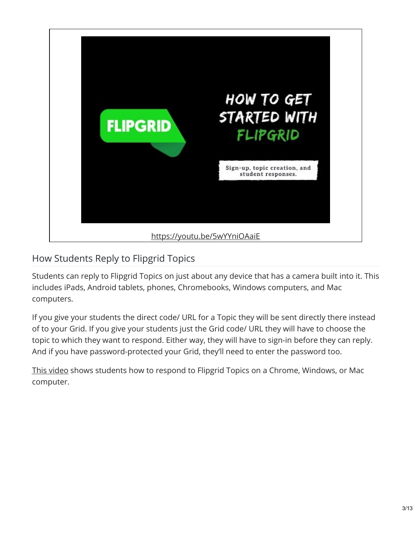

## How Students Reply to Flipgrid Topics

Students can reply to Flipgrid Topics on just about any device that has a camera built into it. This includes iPads, Android tablets, phones, Chromebooks, Windows computers, and Mac computers.

If you give your students the direct code/ URL for a Topic they will be sent directly there instead of to your Grid. If you give your students just the Grid code/ URL they will have to choose the topic to which they want to respond. Either way, they will have to sign-in before they can reply. And if you have password-protected your Grid, they'll need to enter the password too.

This [video](https://www.youtube.com/watch?v=5wYYniOAaiE) shows students how to respond to Flipgrid Topics on a Chrome, Windows, or Mac computer.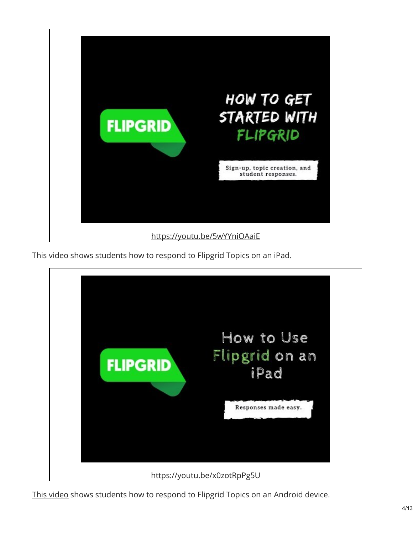

This [video](https://youtu.be/x0zotRpPg5U) shows students how to respond to Flipgrid Topics on an iPad.



This [video](https://youtu.be/l31Og833E3I) shows students how to respond to Flipgrid Topics on an Android device.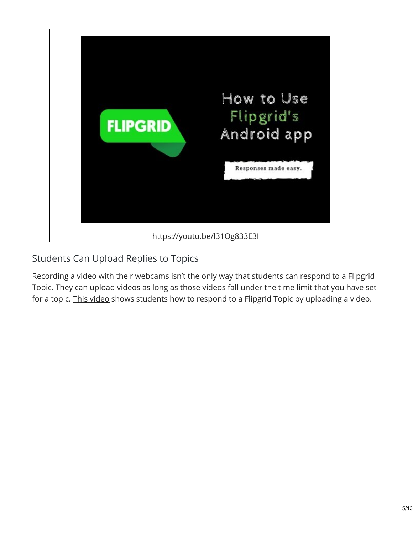

## Students Can Upload Replies to Topics

Recording a video with their webcams isn't the only way that students can respond to a Flipgrid Topic. They can upload videos as long as those videos fall under the time limit that you have set for a topic. This [video](https://youtu.be/MTnePEtcjlA) shows students how to respond to a Flipgrid Topic by uploading a video.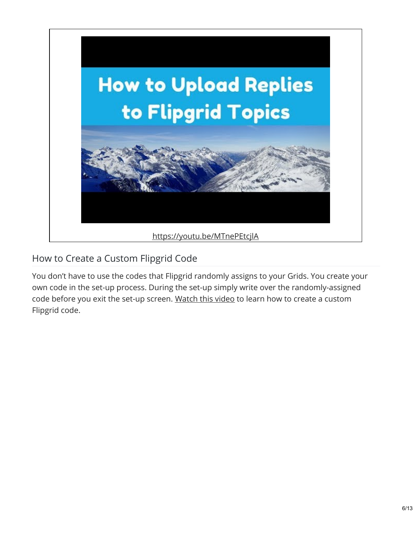

### How to Create a Custom Flipgrid Code

You don't have to use the codes that Flipgrid randomly assigns to your Grids. You create your own code in the set-up process. During the set-up simply write over the randomly-assigned code before you exit the set-up screen. [Watch](https://youtu.be/EaDAtgxmSgk) this video to learn how to create a custom Flipgrid code.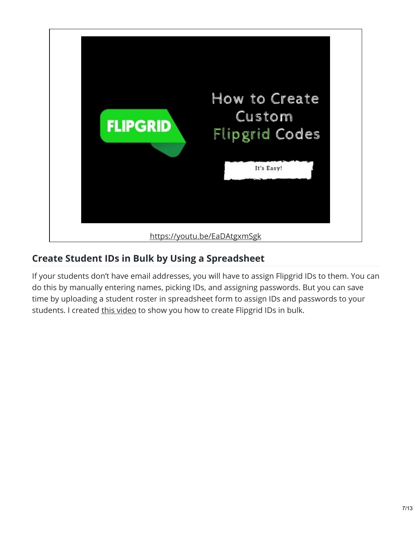

### **Create Student IDs in Bulk by Using a Spreadsheet**

If your students don't have email addresses, you will have to assign Flipgrid IDs to them. You can do this by manually entering names, picking IDs, and assigning passwords. But you can save time by uploading a student roster in spreadsheet form to assign IDs and passwords to your students. I created this [video](https://youtu.be/00N5582u15g) to show you how to create Flipgrid IDs in bulk.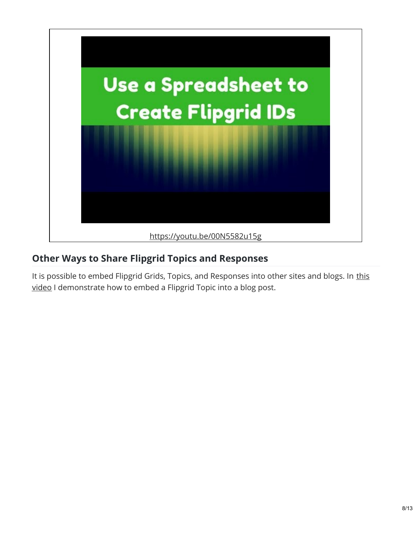

#### **Other Ways to Share Flipgrid Topics and Responses**

It is possible to embed Flipgrid Grids, Topics, and Responses into other sites and blogs. In this video I [demonstrate](https://youtu.be/O36SI7bxVe4) how to embed a Flipgrid Topic into a blog post.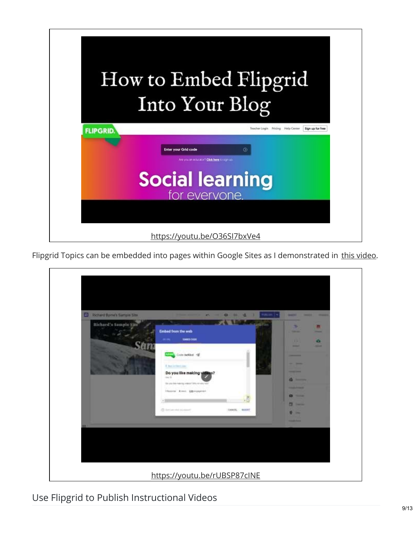|                 |                                             | How to Embed Flipgrid                                 |
|-----------------|---------------------------------------------|-------------------------------------------------------|
|                 | Into Your Blog                              |                                                       |
| <b>FLIPGRID</b> |                                             | Sign up for free<br>Teacher Login Pricing Help Center |
|                 | <b>Enter your Grid code</b>                 |                                                       |
|                 | Are you an educator? Click here to sign up. | ®                                                     |
|                 | <b>Social learning</b>                      |                                                       |
|                 | for evervone.                               |                                                       |
|                 |                                             |                                                       |
|                 | https://youtu.be/O36SI7bxVe4                |                                                       |

Flipgrid Topics can be embedded into pages within Google Sites as I demonstrated in this [video](https://youtu.be/rUBSP87cINE).

| a,<br>Richard Dynas's Sample Site<br>Richard's Sample Site | <b>ALC</b>                                               | ш<br><b>National Ex-</b><br>÷<br>-<br>- | <b>MARKET</b><br>-<br>-                                   |
|------------------------------------------------------------|----------------------------------------------------------|-----------------------------------------|-----------------------------------------------------------|
|                                                            | Einheit from the web                                     |                                         | m.<br>西<br><b>Service</b><br>-                            |
|                                                            | m/m<br>VIANCE OVER                                       |                                         | ۰<br><br>-<br>-                                           |
|                                                            | <b>Competition of</b>                                    |                                         | _                                                         |
|                                                            | E has a fact con-<br>Do you like making videos?          |                                         | <b>Service</b><br>٠<br>-                                  |
|                                                            | $-1$<br>the year link-making present "Why on which that" |                                         | _                                                         |
|                                                            | Henry Ave. 18-sport                                      |                                         | <b><i><u>Participants</u></i></b><br><b>PERSONAL</b><br>o |
|                                                            |                                                          | Уß                                      | ۳<br><b>Service</b>                                       |
|                                                            | C Incomedy in most                                       | CAROL MIDT                              | -                                                         |
|                                                            |                                                          |                                         | <b>START OF THE OWNER.</b>                                |
|                                                            |                                                          |                                         |                                                           |

Use Flipgrid to Publish Instructional Videos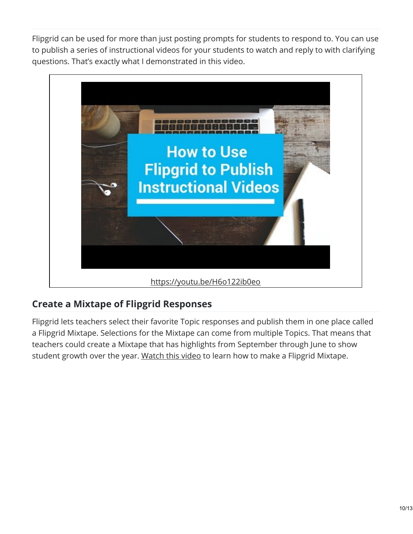Flipgrid can be used for more than just posting prompts for students to respond to. You can use to publish a series of instructional videos for your students to watch and reply to with clarifying questions. That's exactly what I demonstrated in this video.



#### **Create a Mixtape of Flipgrid Responses**

Flipgrid lets teachers select their favorite Topic responses and publish them in one place called a Flipgrid Mixtape. Selections for the Mixtape can come from multiple Topics. That means that teachers could create a Mixtape that has highlights from September through June to show student growth over the year. [Watch](https://youtu.be/hLfkyhqSmwM) this video to learn how to make a Flipgrid Mixtape.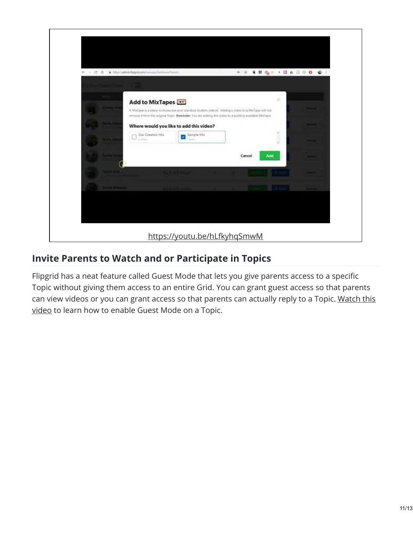| Add to MixTapes<br>A MixTape is a place to showcase your standout audent yideos! Adding a indeo to a MixTape will not                              |                          |        | $\mathcal{L}$ |  |
|----------------------------------------------------------------------------------------------------------------------------------------------------|--------------------------|--------|---------------|--|
| nenove it hom the original Topic. Remindler, too are adding fire video to a publicly available MixTape.<br>Where would you like to add this video? |                          |        |               |  |
| Our Gmishest Hits<br>D-rivers                                                                                                                      | Sample Ma<br>ø<br>$\sim$ |        |               |  |
|                                                                                                                                                    |                          |        |               |  |
|                                                                                                                                                    |                          | Cancel | Add           |  |
| ---                                                                                                                                                |                          |        |               |  |

#### **Invite Parents to Watch and or Participate in Topics**

Flipgrid has a neat feature called Guest Mode that lets you give parents access to a specific Topic without giving them access to an entire Grid. You can grant guest access so that parents can view videos or you can grant access so that [parents](https://youtu.be/0dqpMBzy26E) can actually reply to a Topic. Watch this video to learn how to enable Guest Mode on a Topic.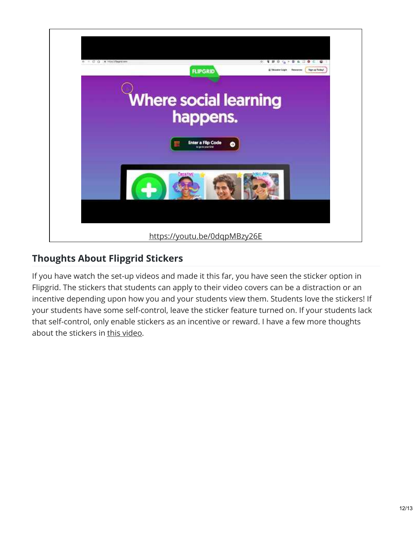

## **Thoughts About Flipgrid Stickers**

If you have watch the set-up videos and made it this far, you have seen the sticker option in Flipgrid. The stickers that students can apply to their video covers can be a distraction or an incentive depending upon how you and your students view them. Students love the stickers! If your students have some self-control, leave the sticker feature turned on. If your students lack that self-control, only enable stickers as an incentive or reward. I have a few more thoughts about the stickers in this [video](https://youtu.be/WuEn4wcWJlE).